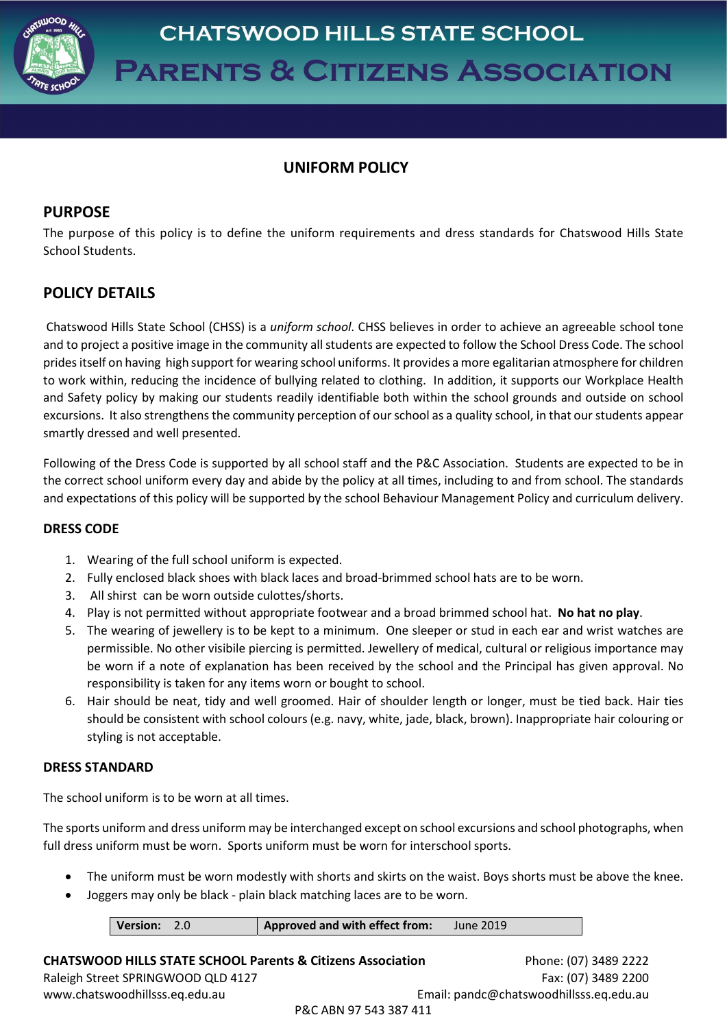

# UNIFORM POLICY

## PURPOSE

The purpose of this policy is to define the uniform requirements and dress standards for Chatswood Hills State School Students.

# POLICY DETAILS

 Chatswood Hills State School (CHSS) is a uniform school. CHSS believes in order to achieve an agreeable school tone and to project a positive image in the community all students are expected to follow the School Dress Code. The school prides itself on having high support for wearing school uniforms. It provides a more egalitarian atmosphere for children to work within, reducing the incidence of bullying related to clothing. In addition, it supports our Workplace Health and Safety policy by making our students readily identifiable both within the school grounds and outside on school excursions. It also strengthens the community perception of our school as a quality school, in that our students appear smartly dressed and well presented.

Following of the Dress Code is supported by all school staff and the P&C Association. Students are expected to be in the correct school uniform every day and abide by the policy at all times, including to and from school. The standards and expectations of this policy will be supported by the school Behaviour Management Policy and curriculum delivery.

## DRESS CODE

- 1. Wearing of the full school uniform is expected.
- 2. Fully enclosed black shoes with black laces and broad-brimmed school hats are to be worn.
- 3. All shirst can be worn outside culottes/shorts.
- 4. Play is not permitted without appropriate footwear and a broad brimmed school hat. No hat no play.
- 5. The wearing of jewellery is to be kept to a minimum. One sleeper or stud in each ear and wrist watches are permissible. No other visibile piercing is permitted. Jewellery of medical, cultural or religious importance may be worn if a note of explanation has been received by the school and the Principal has given approval. No responsibility is taken for any items worn or bought to school.
- 6. Hair should be neat, tidy and well groomed. Hair of shoulder length or longer, must be tied back. Hair ties should be consistent with school colours (e.g. navy, white, jade, black, brown). Inappropriate hair colouring or styling is not acceptable.

## DRESS STANDARD

The school uniform is to be worn at all times.

The sports uniform and dress uniform may be interchanged except on school excursions and school photographs, when full dress uniform must be worn. Sports uniform must be worn for interschool sports.

- The uniform must be worn modestly with shorts and skirts on the waist. Boys shorts must be above the knee.
- Joggers may only be black plain black matching laces are to be worn.

| Approved and with effect from:<br>Version: 2.0 | June 2019 |
|------------------------------------------------|-----------|
|------------------------------------------------|-----------|

CHATSWOOD HILLS STATE SCHOOL Parents & Citizens Association Phone: (07) 3489 2222 Raleigh Street SPRINGWOOD QLD 4127 Fax: (07) 3489 2200 www.chatswoodhillsss.eq.edu.au Email: pandc@chatswoodhillsss.eq.edu.au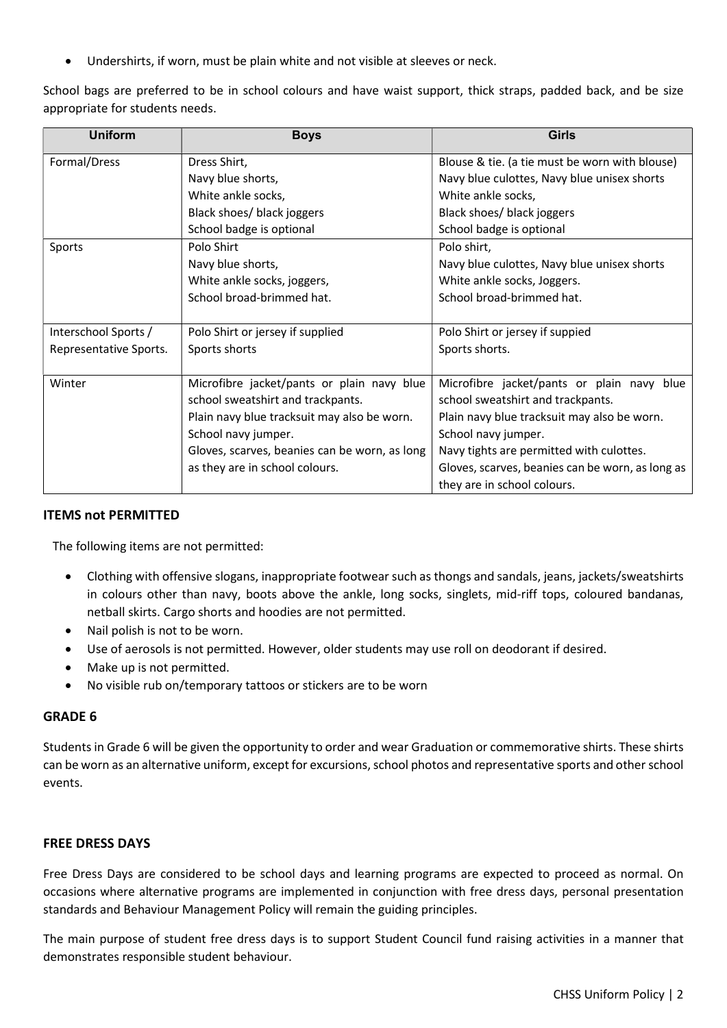Undershirts, if worn, must be plain white and not visible at sleeves or neck.

School bags are preferred to be in school colours and have waist support, thick straps, padded back, and be size appropriate for students needs.

| <b>Uniform</b>         | <b>Boys</b>                                   | <b>Girls</b>                                     |
|------------------------|-----------------------------------------------|--------------------------------------------------|
| Formal/Dress           | Dress Shirt,                                  | Blouse & tie. (a tie must be worn with blouse)   |
|                        | Navy blue shorts,                             | Navy blue culottes, Navy blue unisex shorts      |
|                        | White ankle socks,                            | White ankle socks,                               |
|                        | Black shoes/ black joggers                    | Black shoes/ black joggers                       |
|                        | School badge is optional                      | School badge is optional                         |
| Sports                 | Polo Shirt                                    | Polo shirt,                                      |
|                        | Navy blue shorts,                             | Navy blue culottes, Navy blue unisex shorts      |
|                        | White ankle socks, joggers,                   | White ankle socks, Joggers.                      |
|                        | School broad-brimmed hat.                     | School broad-brimmed hat.                        |
|                        |                                               |                                                  |
| Interschool Sports /   | Polo Shirt or jersey if supplied              | Polo Shirt or jersey if suppied                  |
| Representative Sports. | Sports shorts                                 | Sports shorts.                                   |
|                        |                                               |                                                  |
| Winter                 | Microfibre jacket/pants or plain navy blue    | Microfibre jacket/pants or plain navy blue       |
|                        | school sweatshirt and trackpants.             | school sweatshirt and trackpants.                |
|                        | Plain navy blue tracksuit may also be worn.   | Plain navy blue tracksuit may also be worn.      |
|                        | School navy jumper.                           | School navy jumper.                              |
|                        | Gloves, scarves, beanies can be worn, as long | Navy tights are permitted with culottes.         |
|                        | as they are in school colours.                | Gloves, scarves, beanies can be worn, as long as |
|                        |                                               | they are in school colours.                      |

#### ITEMS not PERMITTED

The following items are not permitted:

- Clothing with offensive slogans, inappropriate footwear such as thongs and sandals, jeans, jackets/sweatshirts in colours other than navy, boots above the ankle, long socks, singlets, mid-riff tops, coloured bandanas, netball skirts. Cargo shorts and hoodies are not permitted.
- Nail polish is not to be worn.
- Use of aerosols is not permitted. However, older students may use roll on deodorant if desired.
- Make up is not permitted.
- No visible rub on/temporary tattoos or stickers are to be worn

#### GRADE 6

Students in Grade 6 will be given the opportunity to order and wear Graduation or commemorative shirts. These shirts can be worn as an alternative uniform, except for excursions, school photos and representative sports and other school events.

#### FREE DRESS DAYS

Free Dress Days are considered to be school days and learning programs are expected to proceed as normal. On occasions where alternative programs are implemented in conjunction with free dress days, personal presentation standards and Behaviour Management Policy will remain the guiding principles.

The main purpose of student free dress days is to support Student Council fund raising activities in a manner that demonstrates responsible student behaviour.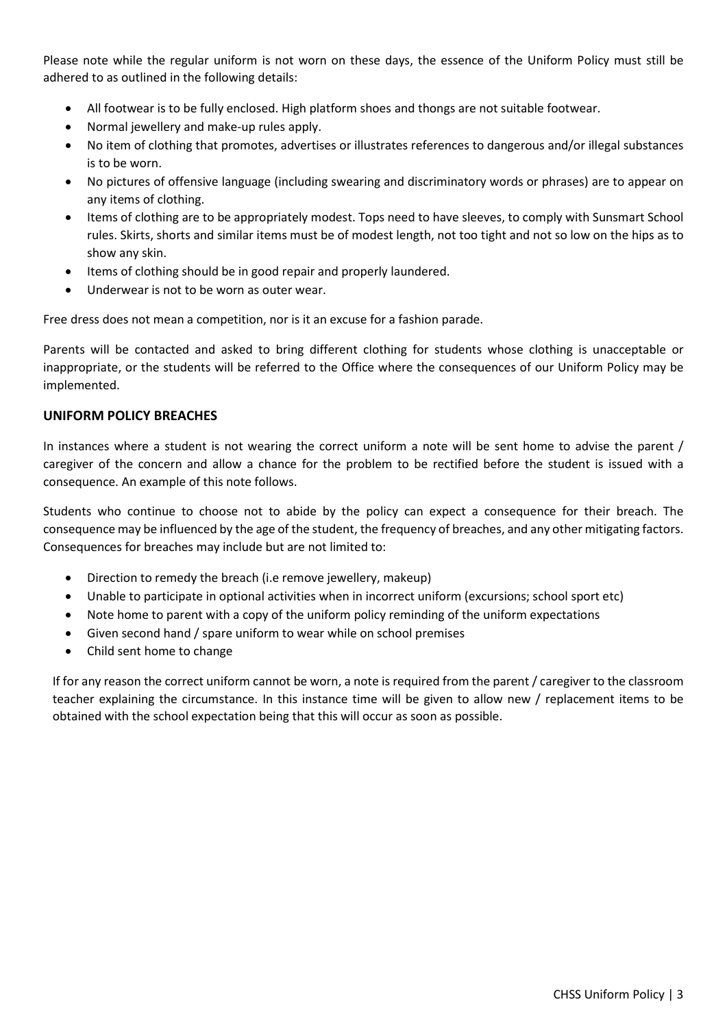Please note while the regular uniform is not worn on these days, the essence of the Uniform Policy must still be adhered to as outlined in the following details:

- All footwear is to be fully enclosed. High platform shoes and thongs are not suitable footwear.
- Normal jewellery and make-up rules apply.
- No item of clothing that promotes, advertises or illustrates references to dangerous and/or illegal substances is to be worn.
- No pictures of offensive language (including swearing and discriminatory words or phrases) are to appear on any items of clothing.
- Items of clothing are to be appropriately modest. Tops need to have sleeves, to comply with Sunsmart School rules. Skirts, shorts and similar items must be of modest length, not too tight and not so low on the hips as to show any skin.
- Items of clothing should be in good repair and properly laundered.
- Underwear is not to be worn as outer wear.

Free dress does not mean a competition, nor is it an excuse for a fashion parade.

Parents will be contacted and asked to bring different clothing for students whose clothing is unacceptable or inappropriate, or the students will be referred to the Office where the consequences of our Uniform Policy may be implemented.

## UNIFORM POLICY BREACHES

In instances where a student is not wearing the correct uniform a note will be sent home to advise the parent / caregiver of the concern and allow a chance for the problem to be rectified before the student is issued with a consequence. An example of this note follows.

Students who continue to choose not to abide by the policy can expect a consequence for their breach. The consequence may be influenced by the age of the student, the frequency of breaches, and any other mitigating factors. Consequences for breaches may include but are not limited to:

- Direction to remedy the breach (i.e remove jewellery, makeup)
- Unable to participate in optional activities when in incorrect uniform (excursions; school sport etc)
- Note home to parent with a copy of the uniform policy reminding of the uniform expectations
- Given second hand / spare uniform to wear while on school premises
- Child sent home to change

If for any reason the correct uniform cannot be worn, a note is required from the parent / caregiver to the classroom teacher explaining the circumstance. In this instance time will be given to allow new / replacement items to be obtained with the school expectation being that this will occur as soon as possible.